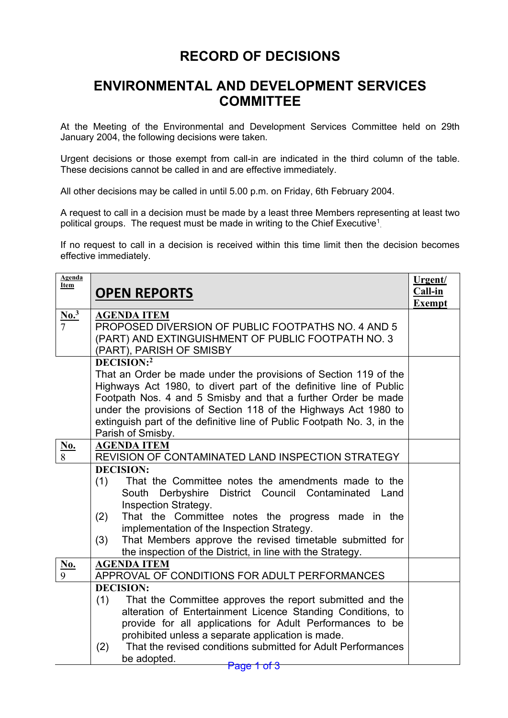## **RECORD OF DECISIONS**

## **ENVIRONMENTAL AND DEVELOPMENT SERVICES COMMITTEE**

At the Meeting of the Environmental and Development Services Committee held on 29th January 2004, the following decisions were taken.

Urgent decisions or those exempt from call-in are indicated in the third column of the table. These decisions cannot be called in and are effective immediately.

All other decisions may be called in until 5.00 p.m. on Friday, 6th February 2004.

A request to call in a decision must be made by a least three Members representing at least two political groups. The request must be made in writing to the Chief Executive $^1_\cdot$ 

If no request to call in a decision is received within this time limit then the decision becomes effective immediately.

| <b>Agenda</b><br><b>Item</b> | <b>OPEN REPORTS</b>                                                                                                                                                                                                                                                                                                                                                                                                   | Urgent/<br>Call-in<br><b>Exempt</b> |
|------------------------------|-----------------------------------------------------------------------------------------------------------------------------------------------------------------------------------------------------------------------------------------------------------------------------------------------------------------------------------------------------------------------------------------------------------------------|-------------------------------------|
| $\frac{\text{No.}^3}{7}$     | <b>AGENDA ITEM</b><br>PROPOSED DIVERSION OF PUBLIC FOOTPATHS NO. 4 AND 5<br>(PART) AND EXTINGUISHMENT OF PUBLIC FOOTPATH NO. 3<br>(PART), PARISH OF SMISBY                                                                                                                                                                                                                                                            |                                     |
|                              | DECISION:2<br>That an Order be made under the provisions of Section 119 of the<br>Highways Act 1980, to divert part of the definitive line of Public<br>Footpath Nos. 4 and 5 Smisby and that a further Order be made<br>under the provisions of Section 118 of the Highways Act 1980 to<br>extinguish part of the definitive line of Public Footpath No. 3, in the<br>Parish of Smisby.                              |                                     |
| $\frac{\mathbf{No.}}{8}$     | <b>AGENDA ITEM</b><br>REVISION OF CONTAMINATED LAND INSPECTION STRATEGY                                                                                                                                                                                                                                                                                                                                               |                                     |
|                              | <b>DECISION:</b><br>That the Committee notes the amendments made to the<br>(1)<br>Derbyshire District Council Contaminated<br>South<br>Land<br><b>Inspection Strategy.</b><br>(2)<br>That the Committee notes the progress made in the<br>implementation of the Inspection Strategy.<br>That Members approve the revised timetable submitted for<br>(3)<br>the inspection of the District, in line with the Strategy. |                                     |
| $\frac{\text{No.}}{9}$       | <b>AGENDA ITEM</b><br>APPROVAL OF CONDITIONS FOR ADULT PERFORMANCES                                                                                                                                                                                                                                                                                                                                                   |                                     |
|                              | <b>DECISION:</b><br>(1)<br>That the Committee approves the report submitted and the<br>alteration of Entertainment Licence Standing Conditions, to<br>provide for all applications for Adult Performances to be<br>prohibited unless a separate application is made.<br>That the revised conditions submitted for Adult Performances<br>(2)<br>be adopted.<br>Page 1 of 3                                             |                                     |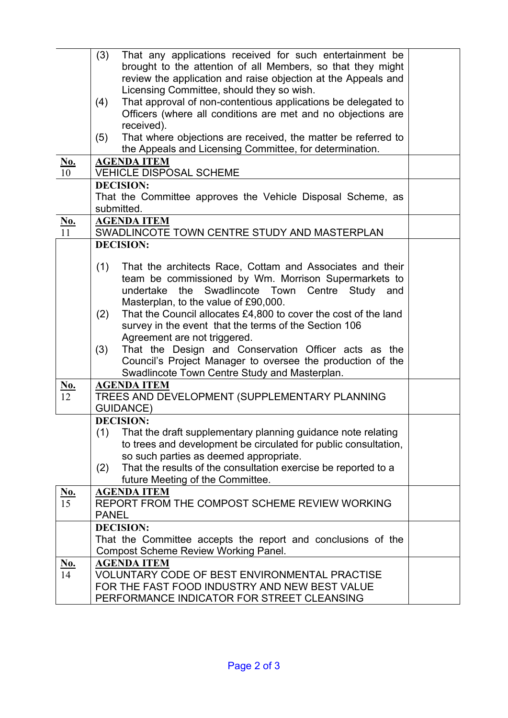|                         | (3)<br>That any applications received for such entertainment be<br>brought to the attention of all Members, so that they might         |  |
|-------------------------|----------------------------------------------------------------------------------------------------------------------------------------|--|
|                         | review the application and raise objection at the Appeals and<br>Licensing Committee, should they so wish.                             |  |
|                         | That approval of non-contentious applications be delegated to<br>(4)                                                                   |  |
|                         | Officers (where all conditions are met and no objections are                                                                           |  |
|                         | received).                                                                                                                             |  |
|                         | (5)<br>That where objections are received, the matter be referred to                                                                   |  |
|                         | the Appeals and Licensing Committee, for determination.                                                                                |  |
| <u>No.</u><br>10        | <b>AGENDA ITEM</b><br><b>VEHICLE DISPOSAL SCHEME</b>                                                                                   |  |
|                         | <b>DECISION:</b>                                                                                                                       |  |
|                         | That the Committee approves the Vehicle Disposal Scheme, as                                                                            |  |
|                         | submitted.                                                                                                                             |  |
| <u>No.</u>              | <b>AGENDA ITEM</b>                                                                                                                     |  |
| 11                      | SWADLINCOTE TOWN CENTRE STUDY AND MASTERPLAN                                                                                           |  |
|                         | <b>DECISION:</b>                                                                                                                       |  |
|                         | (1)<br>That the architects Race, Cottam and Associates and their                                                                       |  |
|                         | team be commissioned by Wm. Morrison Supermarkets to                                                                                   |  |
|                         | undertake the Swadlincote Town<br>Centre Study and                                                                                     |  |
|                         | Masterplan, to the value of £90,000.                                                                                                   |  |
|                         | That the Council allocates £4,800 to cover the cost of the land<br>(2)                                                                 |  |
|                         | survey in the event that the terms of the Section 106                                                                                  |  |
|                         | Agreement are not triggered.                                                                                                           |  |
|                         | That the Design and Conservation Officer acts as the<br>(3)<br>Council's Project Manager to oversee the production of the              |  |
|                         | Swadlincote Town Centre Study and Masterplan.                                                                                          |  |
|                         | <b>AGENDA ITEM</b>                                                                                                                     |  |
| $\frac{\text{No.}}{12}$ | TREES AND DEVELOPMENT (SUPPLEMENTARY PLANNING                                                                                          |  |
|                         | <b>GUIDANCE)</b>                                                                                                                       |  |
|                         | <b>DECISION:</b>                                                                                                                       |  |
|                         | (1)<br>That the draft supplementary planning guidance note relating<br>to trees and development be circulated for public consultation, |  |
|                         | so such parties as deemed appropriate.                                                                                                 |  |
|                         | That the results of the consultation exercise be reported to a<br>(2)                                                                  |  |
| <u>No.</u>              | future Meeting of the Committee.<br><b>AGENDA ITEM</b>                                                                                 |  |
| $\overline{15}$         | REPORT FROM THE COMPOST SCHEME REVIEW WORKING                                                                                          |  |
|                         | <b>PANEL</b>                                                                                                                           |  |
|                         | <b>DECISION:</b>                                                                                                                       |  |
|                         | That the Committee accepts the report and conclusions of the                                                                           |  |
|                         | <b>Compost Scheme Review Working Panel.</b>                                                                                            |  |
| No.                     | <b>AGENDA ITEM</b>                                                                                                                     |  |
| 14                      | <b>VOLUNTARY CODE OF BEST ENVIRONMENTAL PRACTISE</b>                                                                                   |  |
|                         | FOR THE FAST FOOD INDUSTRY AND NEW BEST VALUE<br>PERFORMANCE INDICATOR FOR STREET CLEANSING                                            |  |
|                         |                                                                                                                                        |  |